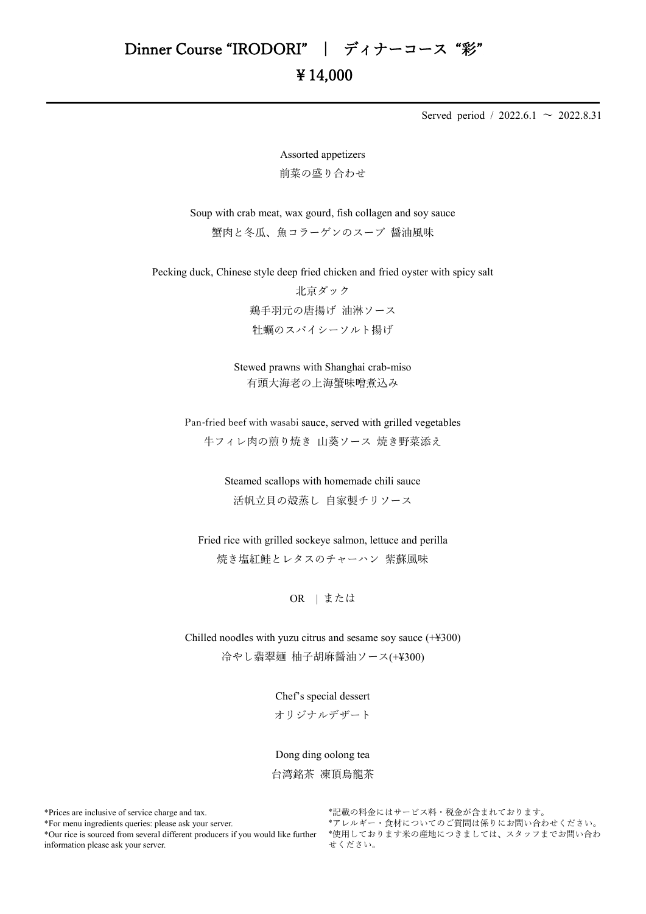Served period / 2022.6.1  $\sim$  2022.8.31

Assorted appetizers 前菜の盛り合わせ

Soup with crab meat, wax gourd, fish collagen and soy sauce 蟹肉と冬瓜、魚コラーゲンのスープ 醤油風味

Pecking duck, Chinese style deep fried chicken and fried oyster with spicy salt

北京ダック 鶏手羽元の唐揚げ 油淋ソース 牡蠣のスパイシーソルト揚げ

Stewed prawns with Shanghai crab-miso 有頭大海老の上海蟹味噌煮込み

Pan-fried beef with wasabi sauce, served with grilled vegetables 牛フィレ肉の煎り焼き 山葵ソース 焼き野菜添え

> Steamed scallops with homemade chili sauce 活帆立貝の殻蒸し 自家製チリソース

Fried rice with grilled sockeye salmon, lettuce and perilla 焼き塩紅鮭とレタスのチャーハン 紫蘇風味

OR | または

Chilled noodles with yuzu citrus and sesame soy sauce (+¥300) 冷やし翡翠麺 柚子胡麻醤油ソース(+¥300)

Chef's special dessert

オリジナルデザート

Dong ding oolong tea 台湾銘茶 凍頂烏龍茶

\*Prices are inclusive of service charge and tax.

\*For menu ingredients queries: please ask your server.

\*Our rice is sourced from several different producers if you would like further information please ask your server.

\*記載の料金にはサービス料・税金が含まれております。 \*アレルギー・食材についてのご質問は係りにお問い合わせください。 \*使用しております米の産地につきましては、スタッフまでお問い合わ せください。